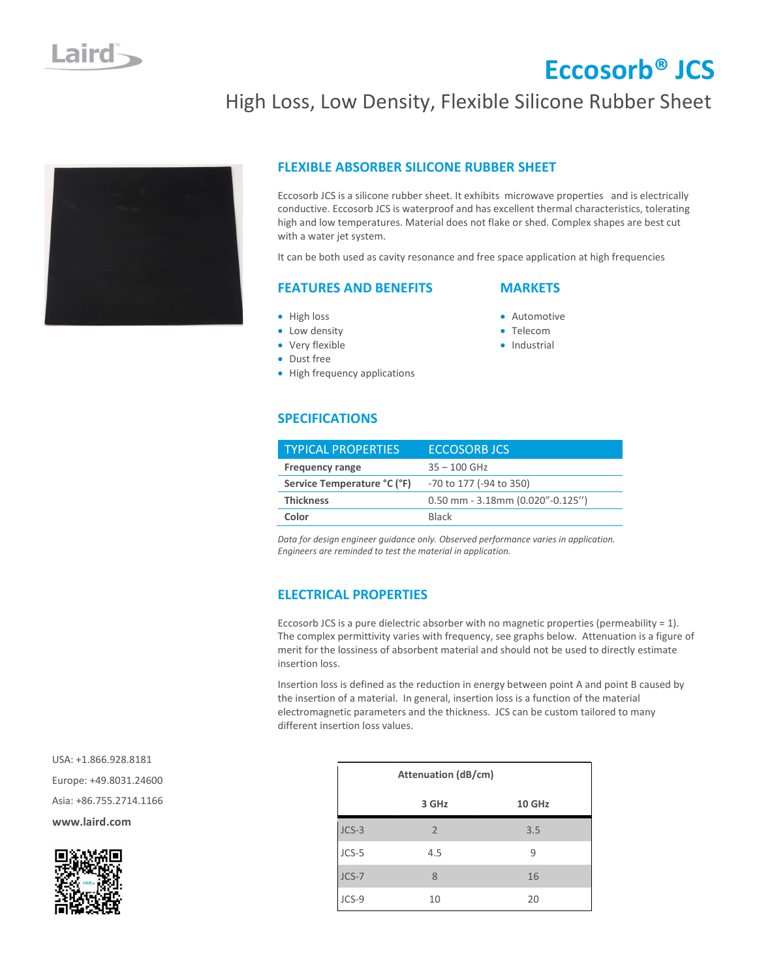# Eccosorb® JCS

## High Loss, Low Density, Flexible Silicone Rubber Sheet



### FLEXIBLE ABSORBER SILICONE RUBBER SHEET

Eccosorb JCS is a silicone rubber sheet. It exhibits microwave properties and is electrically conductive. Eccosorb JCS is waterproof and has excellent thermal characteristics, tolerating high and low temperatures. Material does not flake or shed. Complex shapes are best cut with a water jet system.

It can be both used as cavity resonance and free space application at high frequencies

### FEATURES AND BENEFITS

### **MARKETS**

- High loss
- Low density
- Very flexible
- Dust free
- High frequency applications
- **Automotive**
- Telecom
- **·** Industrial

### SPECIFICATIONS

| <b>TYPICAL PROPERTIES</b>   | <b>ECCOSORB JCS</b>                |  |
|-----------------------------|------------------------------------|--|
| <b>Frequency range</b>      | $35 - 100$ GHz                     |  |
| Service Temperature °C (°F) | -70 to 177 (-94 to 350)            |  |
| <b>Thickness</b>            | $0.50$ mm - 3.18mm (0.020"-0.125") |  |
| Color                       | <b>Black</b>                       |  |

Data for design engineer guidance only. Observed performance varies in application. Engineers are reminded to test the material in application.

### ELECTRICAL PROPERTIES

Eccosorb JCS is a pure dielectric absorber with no magnetic properties (permeability  $= 1$ ). The complex permittivity varies with frequency, see graphs below. Attenuation is a figure of merit for the lossiness of absorbent material and should not be used to directly estimate insertion loss.

Insertion loss is defined as the reduction in energy between point A and point B caused by the insertion of a material. In general, insertion loss is a function of the material electromagnetic parameters and the thickness. JCS can be custom tailored to many different insertion loss values.

| <b>Attenuation (dB/cm)</b> |                |               |
|----------------------------|----------------|---------------|
|                            | 3 GHz          | <b>10 GHz</b> |
| $JCS-3$                    | $\overline{2}$ | 3.5           |
| JCS-5                      | 4.5            | 9             |
| $JCS-7$                    | 8              | 16            |
| JCS-9                      | 10             | 20            |

 USA: +1.866.928.8181 Europe: +49.8031.24600 Asia: +86.755.2714.1166 www.laird.com